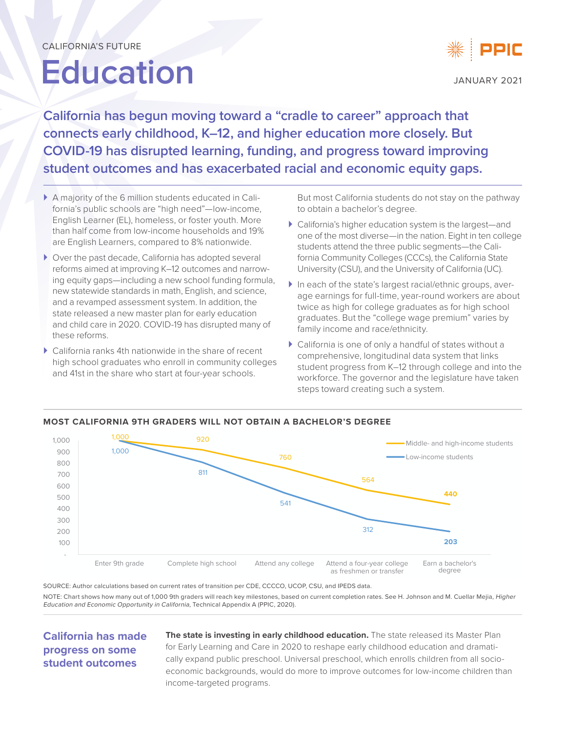# **Education**



JANUARY 2021

**California has begun moving toward a "cradle to career" approach that connects early childhood, K–12, and higher education more closely. But COVID-19 has disrupted learning, funding, and progress toward improving student outcomes and has exacerbated racial and economic equity gaps.**

- ` A majority of the 6 million students educated in California's public schools are "high need"—low-income, English Learner (EL), homeless, or foster youth. More than half come from low-income households and 19% are English Learners, compared to 8% nationwide.
- ` Over the past decade, California has adopted several reforms aimed at improving K–12 outcomes and narrowing equity gaps—including a new school funding formula, new statewide standards in math, English, and science, and a revamped assessment system. In addition, the state released a new master plan for early education and child care in 2020. COVID-19 has disrupted many of these reforms.
- $\triangleright$  California ranks 4th nationwide in the share of recent high school graduates who enroll in community colleges and 41st in the share who start at four-year schools.

But most California students do not stay on the pathway to obtain a bachelor's degree.

- ` California's higher education system is the largest—and one of the most diverse—in the nation. Eight in ten college students attend the three public segments—the California Community Colleges (CCCs), the California State University (CSU), and the University of California (UC).
- ` In each of the state's largest racial/ethnic groups, average earnings for full-time, year-round workers are about twice as high for college graduates as for high school graduates. But the "college wage premium" varies by family income and race/ethnicity.
- $\blacktriangleright$  California is one of only a handful of states without a comprehensive, longitudinal data system that links student progress from K–12 through college and into the workforce. The governor and the legislature have taken steps toward creating such a system.



**MOST CALIFORNIA 9TH GRADERS WILL NOT OBTAIN A BACHELOR'S DEGREE**

SOURCE: Author calculations based on current rates of transition per CDE, CCCCO, UCOP, CSU, and IPEDS data. NOTE: Chart shows how many out of 1,000 9th graders will reach key milestones, based on current completion rates. See H. Johnson and M. Cuellar Mejia, Higher Education and Economic Opportunity in California, Technical Appendix A (PPIC, 2020).

# **California has made progress on some student outcomes**

**The state is investing in early childhood education.** The state released its Master Plan for Early Learning and Care in 2020 to reshape early childhood education and dramatically expand public preschool. Universal preschool, which enrolls children from all socioeconomic backgrounds, would do more to improve outcomes for low-income children than income-targeted programs.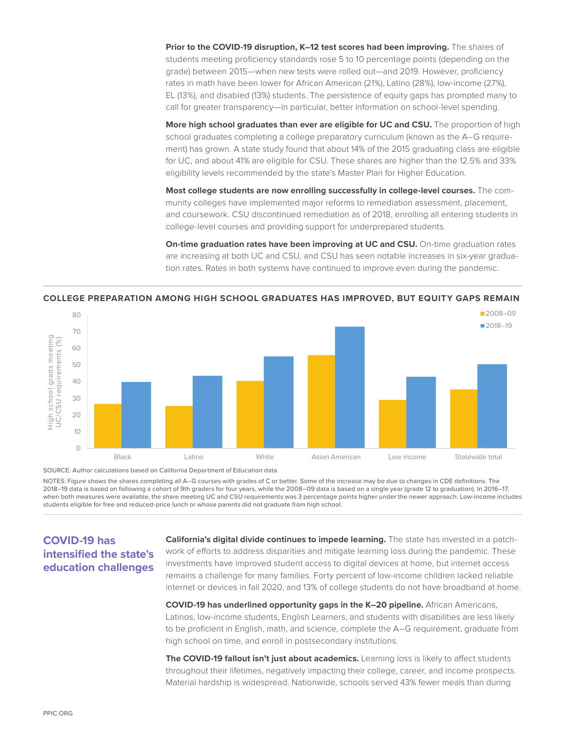Prior to the COVID-19 disruption, K-12 test scores had been improving. The shares of students meeting proficiency standards rose 5 to 10 percentage points (depending on the grade) between 2015—when new tests were rolled out—and 2019. However, proficiency rates in math have been lower for African American (21%), Latino (28%), low-income (27%), EL (13%), and disabled (13%) students. The persistence of equity gaps has prompted many to call for greater transparency—in particular, better information on school-level spending.

**More high school graduates than ever are eligible for UC and CSU.** The proportion of high school graduates completing a college preparatory curriculum (known as the A–G requirement) has grown. A state study found that about 14% of the 2015 graduating class are eligible for UC, and about 41% are eligible for CSU. These shares are higher than the 12.5% and 33% eligibility levels recommended by the state's Master Plan for Higher Education.

**Most college students are now enrolling successfully in college-level courses.** The community colleges have implemented major reforms to remediation assessment, placement, and coursework. CSU discontinued remediation as of 2018, enrolling all entering students in college-level courses and providing support for underprepared students.

**On-time graduation rates have been improving at UC and CSU.** On-time graduation rates are increasing at both UC and CSU, and CSU has seen notable increases in six-year graduation rates. Rates in both systems have continued to improve even during the pandemic.



#### **COLLEGE PREPARATION AMONG HIGH SCHOOL GRADUATES HAS IMPROVED, BUT EQUITY GAPS REMAIN**

SOURCE: Author calculations based on California Department of Education data.

NOTES: Figure shows the shares completing all A–G courses with grades of C or better. Some of the increase may be due to changes in CDE definitions. The 2018–19 data is based on following a cohort of 9th graders for four years, while the 2008–09 data is based on a single year (grade 12 to graduation). In 2016–17, when both measures were available, the share meeting UC and CSU requirements was 3 percentage points higher under the newer approach. Low-income includes students eligible for free and reduced-price lunch or whose parents did not graduate from high school.

## **COVID-19 has intensified the state's education challenges**

**California's digital divide continues to impede learning.** The state has invested in a patchwork of efforts to address disparities and mitigate learning loss during the pandemic. These investments have improved student access to digital devices at home, but internet access remains a challenge for many families. Forty percent of low-income children lacked reliable internet or devices in fall 2020, and 13% of college students do not have broadband at home.

**COVID-19 has underlined opportunity gaps in the K–20 pipeline.** African Americans, Latinos, low-income students, English Learners, and students with disabilities are less likely to be proficient in English, math, and science, complete the A–G requirement, graduate from high school on time, and enroll in postsecondary institutions.

**The COVID-19 fallout isn't just about academics.** Learning loss is likely to affect students throughout their lifetimes, negatively impacting their college, career, and income prospects. Material hardship is widespread. Nationwide, schools served 43% fewer meals than during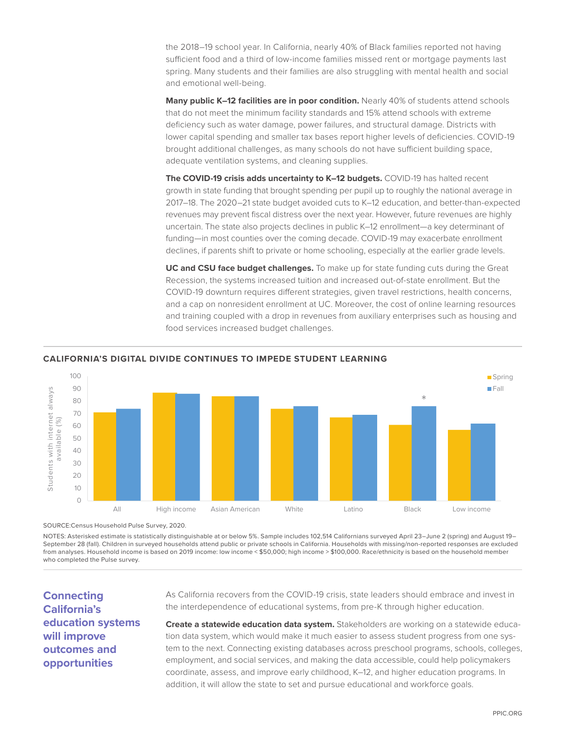the 2018–19 school year. In California, nearly 40% of Black families reported not having sufficient food and a third of low-income families missed rent or mortgage payments last spring. Many students and their families are also struggling with mental health and social and emotional well-being.

Many public K-12 facilities are in poor condition. Nearly 40% of students attend schools that do not meet the minimum facility standards and 15% attend schools with extreme deficiency such as water damage, power failures, and structural damage. Districts with lower capital spending and smaller tax bases report higher levels of deficiencies. COVID-19 brought additional challenges, as many schools do not have sufficient building space, adequate ventilation systems, and cleaning supplies.

**The COVID-19 crisis adds uncertainty to K–12 budgets.** COVID-19 has halted recent growth in state funding that brought spending per pupil up to roughly the national average in 2017–18. The 2020–21 state budget avoided cuts to K–12 education, and better-than-expected revenues may prevent fiscal distress over the next year. However, future revenues are highly uncertain. The state also projects declines in public K–12 enrollment—a key determinant of funding—in most counties over the coming decade. COVID-19 may exacerbate enrollment declines, if parents shift to private or home schooling, especially at the earlier grade levels.

**UC and CSU face budget challenges.** To make up for state funding cuts during the Great Recession, the systems increased tuition and increased out-of-state enrollment. But the COVID-19 downturn requires different strategies, given travel restrictions, health concerns, and a cap on nonresident enrollment at UC. Moreover, the cost of online learning resources and training coupled with a drop in revenues from auxiliary enterprises such as housing and food services increased budget challenges.



### **CALIFORNIA'S DIGITAL DIVIDE CONTINUES TO IMPEDE STUDENT LEARNING**

SOURCE:Census Household Pulse Survey, 2020.

NOTES: Asterisked estimate is statistically distinguishable at or below 5%. Sample includes 102,514 Californians surveyed April 23–June 2 (spring) and August 19– September 28 (fall). Children in surveyed households attend public or private schools in California. Households with missing/non-reported responses are excluded from analyses. Household income is based on 2019 income: low income < \$50,000; high income > \$100,000. Race/ethnicity is based on the household member who completed the Pulse survey.

**Connecting California's education systems will improve outcomes and opportunities**

As California recovers from the COVID-19 crisis, state leaders should embrace and invest in the interdependence of educational systems, from pre-K through higher education.

**Create a statewide education data system.** Stakeholders are working on a statewide education data system, which would make it much easier to assess student progress from one system to the next. Connecting existing databases across preschool programs, schools, colleges, employment, and social services, and making the data accessible, could help policymakers coordinate, assess, and improve early childhood, K–12, and higher education programs. In addition, it will allow the state to set and pursue educational and workforce goals.